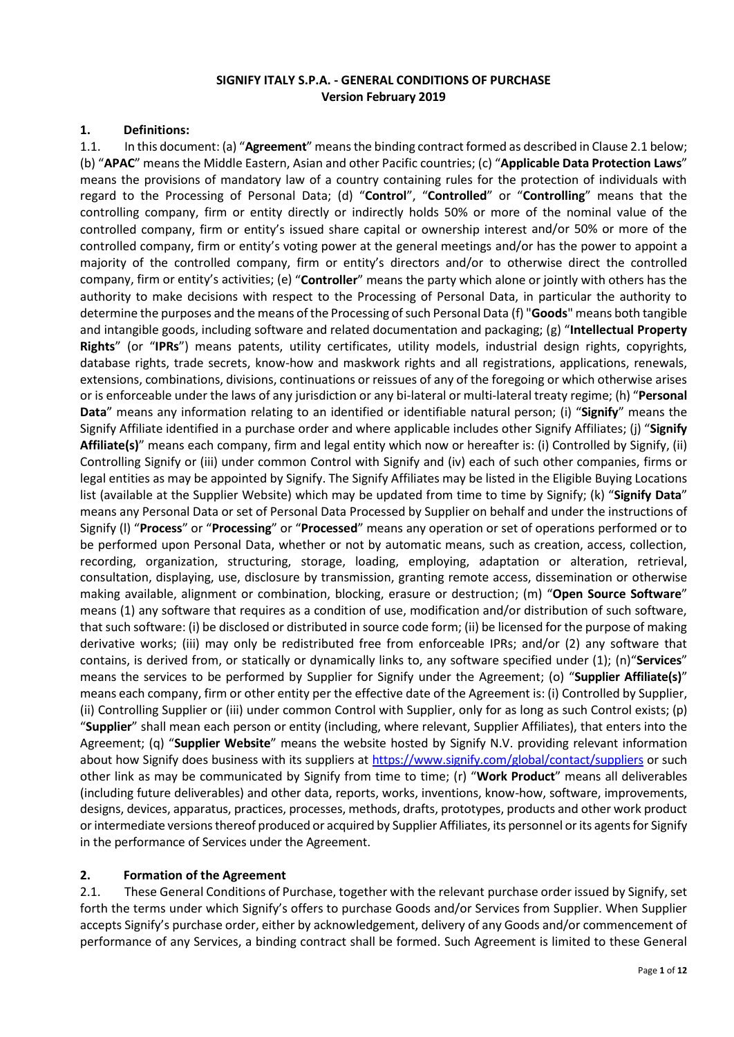#### **SIGNIFY ITALY S.P.A. - GENERAL CONDITIONS OF PURCHASE Version February 2019**

#### **1. Definitions:**

1.1. In this document: (a) "**Agreement**" means the binding contract formed as described in Clause 2.1 below; (b) "**APAC**" means the Middle Eastern, Asian and other Pacific countries; (c) "**Applicable Data Protection Laws**" means the provisions of mandatory law of a country containing rules for the protection of individuals with regard to the Processing of Personal Data; (d) "**Control**", "**Controlled**" or "**Controlling**" means that the controlling company, firm or entity directly or indirectly holds 50% or more of the nominal value of the controlled company, firm or entity's issued share capital or ownership interest and/or 50% or more of the controlled company, firm or entity's voting power at the general meetings and/or has the power to appoint a majority of the controlled company, firm or entity's directors and/or to otherwise direct the controlled company, firm or entity's activities; (e) "**Controller**" means the party which alone or jointly with others has the authority to make decisions with respect to the Processing of Personal Data, in particular the authority to determine the purposes and the means of the Processing of such Personal Data (f) "**Goods**" means both tangible and intangible goods, including software and related documentation and packaging; (g) "**Intellectual Property Rights**" (or "**IPRs**") means patents, utility certificates, utility models, industrial design rights, copyrights, database rights, trade secrets, know-how and maskwork rights and all registrations, applications, renewals, extensions, combinations, divisions, continuations or reissues of any of the foregoing or which otherwise arises or is enforceable under the laws of any jurisdiction or any bi-lateral or multi-lateral treaty regime; (h) "**Personal Data**" means any information relating to an identified or identifiable natural person; (i) "**Signify**" means the Signify Affiliate identified in a purchase order and where applicable includes other Signify Affiliates; (j) "**Signify Affiliate(s)**" means each company, firm and legal entity which now or hereafter is: (i) Controlled by Signify, (ii) Controlling Signify or (iii) under common Control with Signify and (iv) each of such other companies, firms or legal entities as may be appointed by Signify. The Signify Affiliates may be listed in the Eligible Buying Locations list (available at the Supplier Website) which may be updated from time to time by Signify; (k) "**Signify Data**" means any Personal Data or set of Personal Data Processed by Supplier on behalf and under the instructions of Signify (l) "**Process**" or "**Processing**" or "**Processed**" means any operation or set of operations performed or to be performed upon Personal Data, whether or not by automatic means, such as creation, access, collection, recording, organization, structuring, storage, loading, employing, adaptation or alteration, retrieval, consultation, displaying, use, disclosure by transmission, granting remote access, dissemination or otherwise making available, alignment or combination, blocking, erasure or destruction; (m) "**Open Source Software**" means (1) any software that requires as a condition of use, modification and/or distribution of such software, that such software: (i) be disclosed or distributed in source code form; (ii) be licensed for the purpose of making derivative works; (iii) may only be redistributed free from enforceable IPRs; and/or (2) any software that contains, is derived from, or statically or dynamically links to, any software specified under (1); (n)"**Services**" means the services to be performed by Supplier for Signify under the Agreement; (o) "**Supplier Affiliate(s)**" means each company, firm or other entity per the effective date of the Agreement is: (i) Controlled by Supplier, (ii) Controlling Supplier or (iii) under common Control with Supplier, only for as long as such Control exists; (p) "**Supplier**" shall mean each person or entity (including, where relevant, Supplier Affiliates), that enters into the Agreement; (q) "**Supplier Website**" means the website hosted by Signify N.V. providing relevant information about how Signify does business with its suppliers at <https://www.signify.com/global/contact/suppliers> or such other link as may be communicated by Signify from time to time; (r) "**Work Product**" means all deliverables (including future deliverables) and other data, reports, works, inventions, know-how, software, improvements, designs, devices, apparatus, practices, processes, methods, drafts, prototypes, products and other work product or intermediate versions thereof produced or acquired by Supplier Affiliates, its personnel or its agents for Signify in the performance of Services under the Agreement.

### **2. Formation of the Agreement**

2.1. These General Conditions of Purchase, together with the relevant purchase order issued by Signify, set forth the terms under which Signify's offers to purchase Goods and/or Services from Supplier. When Supplier accepts Signify's purchase order, either by acknowledgement, delivery of any Goods and/or commencement of performance of any Services, a binding contract shall be formed. Such Agreement is limited to these General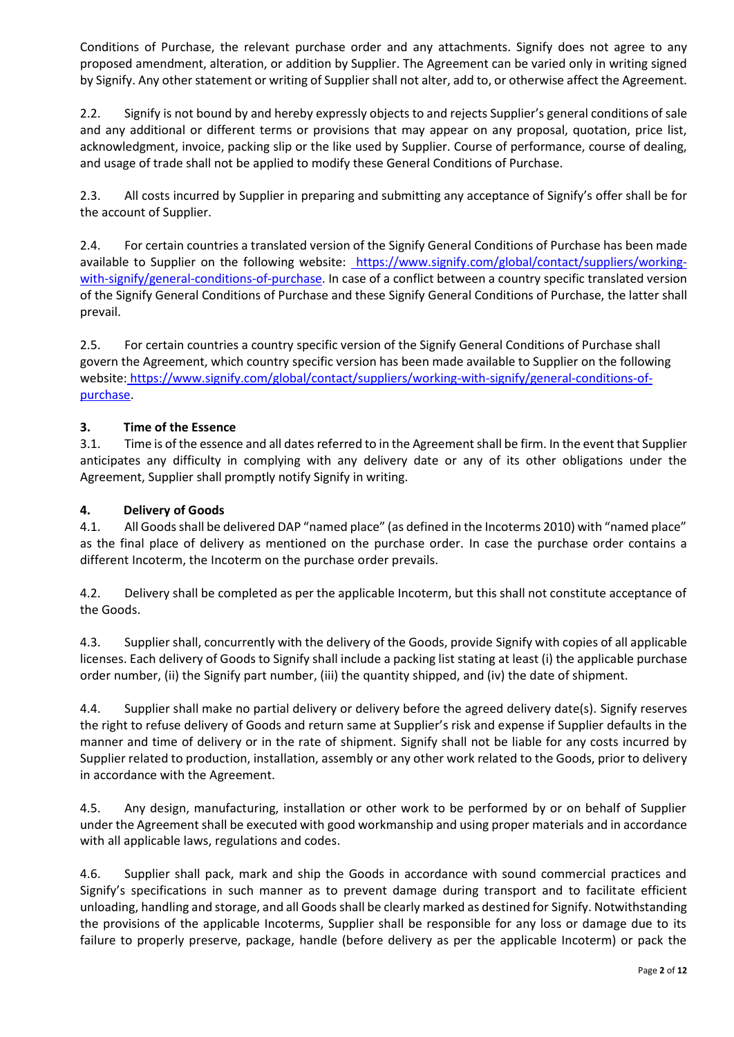Conditions of Purchase, the relevant purchase order and any attachments. Signify does not agree to any proposed amendment, alteration, or addition by Supplier. The Agreement can be varied only in writing signed by Signify. Any other statement or writing of Supplier shall not alter, add to, or otherwise affect the Agreement.

2.2. Signify is not bound by and hereby expressly objects to and rejects Supplier's general conditions of sale and any additional or different terms or provisions that may appear on any proposal, quotation, price list, acknowledgment, invoice, packing slip or the like used by Supplier. Course of performance, course of dealing, and usage of trade shall not be applied to modify these General Conditions of Purchase.

2.3. All costs incurred by Supplier in preparing and submitting any acceptance of Signify's offer shall be for the account of Supplier.

2.4. For certain countries a translated version of the Signify General Conditions of Purchase has been made available to Supplier on the following website: [https://www.signify.com/global/contact/suppliers/working](https://www.signify.com/global/contact/suppliers/working-with-signify/general-conditions-of-purchase)[with-signify/general-conditions-of-purchase.](https://www.signify.com/global/contact/suppliers/working-with-signify/general-conditions-of-purchase) In case of a conflict between a country specific translated version of the Signify General Conditions of Purchase and these Signify General Conditions of Purchase, the latter shall prevail.

2.5. For certain countries a country specific version of the Signify General Conditions of Purchase shall govern the Agreement, which country specific version has been made available to Supplier on the following website: [https://www.signify.com/global/contact/suppliers/working-with-signify/general-conditions-of](https://www.signify.com/global/contact/suppliers/working-with-signify/general-conditions-of-purchase)[purchase.](https://www.signify.com/global/contact/suppliers/working-with-signify/general-conditions-of-purchase)

### **3. Time of the Essence**

3.1. Time is of the essence and all dates referred to in the Agreement shall be firm. In the event that Supplier anticipates any difficulty in complying with any delivery date or any of its other obligations under the Agreement, Supplier shall promptly notify Signify in writing.

#### **4. Delivery of Goods**

4.1. All Goods shall be delivered DAP "named place" (as defined in the Incoterms 2010) with "named place" as the final place of delivery as mentioned on the purchase order. In case the purchase order contains a different Incoterm, the Incoterm on the purchase order prevails.

4.2. Delivery shall be completed as per the applicable Incoterm, but this shall not constitute acceptance of the Goods.

4.3. Supplier shall, concurrently with the delivery of the Goods, provide Signify with copies of all applicable licenses. Each delivery of Goods to Signify shall include a packing list stating at least (i) the applicable purchase order number, (ii) the Signify part number, (iii) the quantity shipped, and (iv) the date of shipment.

4.4. Supplier shall make no partial delivery or delivery before the agreed delivery date(s). Signify reserves the right to refuse delivery of Goods and return same at Supplier's risk and expense if Supplier defaults in the manner and time of delivery or in the rate of shipment. Signify shall not be liable for any costs incurred by Supplier related to production, installation, assembly or any other work related to the Goods, prior to delivery in accordance with the Agreement.

4.5. Any design, manufacturing, installation or other work to be performed by or on behalf of Supplier under the Agreement shall be executed with good workmanship and using proper materials and in accordance with all applicable laws, regulations and codes.

4.6. Supplier shall pack, mark and ship the Goods in accordance with sound commercial practices and Signify's specifications in such manner as to prevent damage during transport and to facilitate efficient unloading, handling and storage, and all Goods shall be clearly marked as destined for Signify. Notwithstanding the provisions of the applicable Incoterms, Supplier shall be responsible for any loss or damage due to its failure to properly preserve, package, handle (before delivery as per the applicable Incoterm) or pack the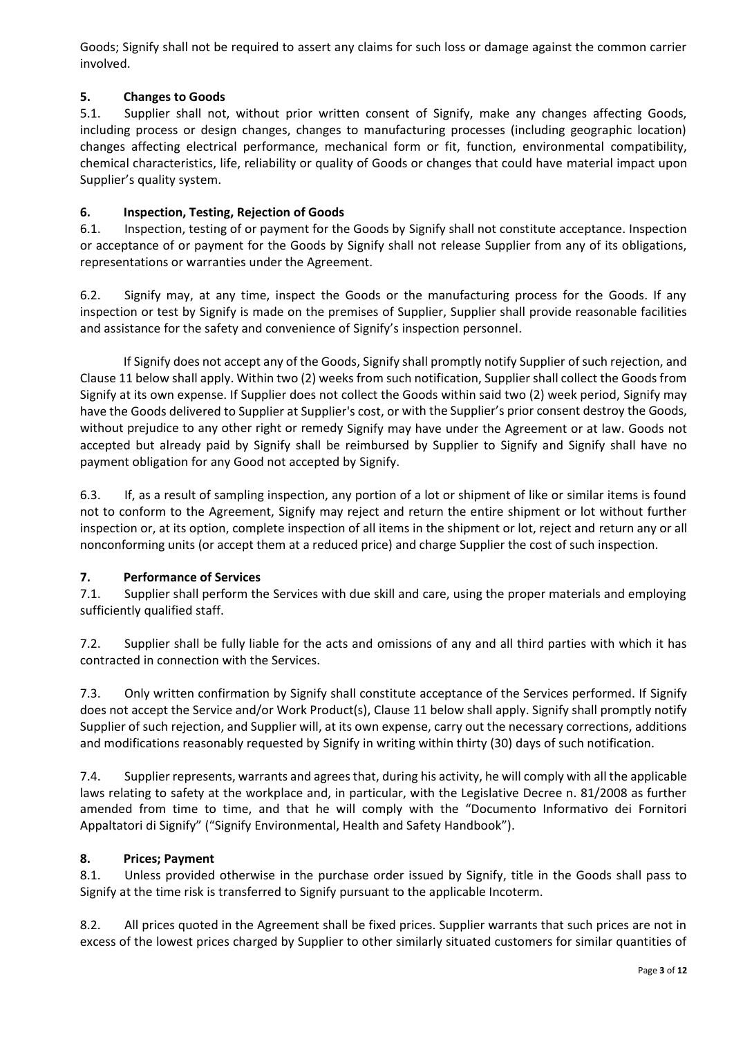Goods; Signify shall not be required to assert any claims for such loss or damage against the common carrier involved.

# **5. Changes to Goods**

5.1. Supplier shall not, without prior written consent of Signify, make any changes affecting Goods, including process or design changes, changes to manufacturing processes (including geographic location) changes affecting electrical performance, mechanical form or fit, function, environmental compatibility, chemical characteristics, life, reliability or quality of Goods or changes that could have material impact upon Supplier's quality system.

# **6. Inspection, Testing, Rejection of Goods**

6.1. Inspection, testing of or payment for the Goods by Signify shall not constitute acceptance. Inspection or acceptance of or payment for the Goods by Signify shall not release Supplier from any of its obligations, representations or warranties under the Agreement.

6.2. Signify may, at any time, inspect the Goods or the manufacturing process for the Goods. If any inspection or test by Signify is made on the premises of Supplier, Supplier shall provide reasonable facilities and assistance for the safety and convenience of Signify's inspection personnel.

If Signify does not accept any of the Goods, Signify shall promptly notify Supplier of such rejection, and Clause 11 below shall apply. Within two (2) weeks from such notification, Supplier shall collect the Goods from Signify at its own expense. If Supplier does not collect the Goods within said two (2) week period, Signify may have the Goods delivered to Supplier at Supplier's cost, or with the Supplier's prior consent destroy the Goods, without prejudice to any other right or remedy Signify may have under the Agreement or at law. Goods not accepted but already paid by Signify shall be reimbursed by Supplier to Signify and Signify shall have no payment obligation for any Good not accepted by Signify.

6.3. If, as a result of sampling inspection, any portion of a lot or shipment of like or similar items is found not to conform to the Agreement, Signify may reject and return the entire shipment or lot without further inspection or, at its option, complete inspection of all items in the shipment or lot, reject and return any or all nonconforming units (or accept them at a reduced price) and charge Supplier the cost of such inspection.

### **7. Performance of Services**

7.1. Supplier shall perform the Services with due skill and care, using the proper materials and employing sufficiently qualified staff.

7.2. Supplier shall be fully liable for the acts and omissions of any and all third parties with which it has contracted in connection with the Services.

7.3. Only written confirmation by Signify shall constitute acceptance of the Services performed. If Signify does not accept the Service and/or Work Product(s), Clause 11 below shall apply. Signify shall promptly notify Supplier of such rejection, and Supplier will, at its own expense, carry out the necessary corrections, additions and modifications reasonably requested by Signify in writing within thirty (30) days of such notification.

7.4. Supplier represents, warrants and agrees that, during his activity, he will comply with all the applicable laws relating to safety at the workplace and, in particular, with the Legislative Decree n. 81/2008 as further amended from time to time, and that he will comply with the "Documento Informativo dei Fornitori Appaltatori di Signify" ("Signify Environmental, Health and Safety Handbook").

### **8. Prices; Payment**

8.1. Unless provided otherwise in the purchase order issued by Signify, title in the Goods shall pass to Signify at the time risk is transferred to Signify pursuant to the applicable Incoterm.

8.2. All prices quoted in the Agreement shall be fixed prices. Supplier warrants that such prices are not in excess of the lowest prices charged by Supplier to other similarly situated customers for similar quantities of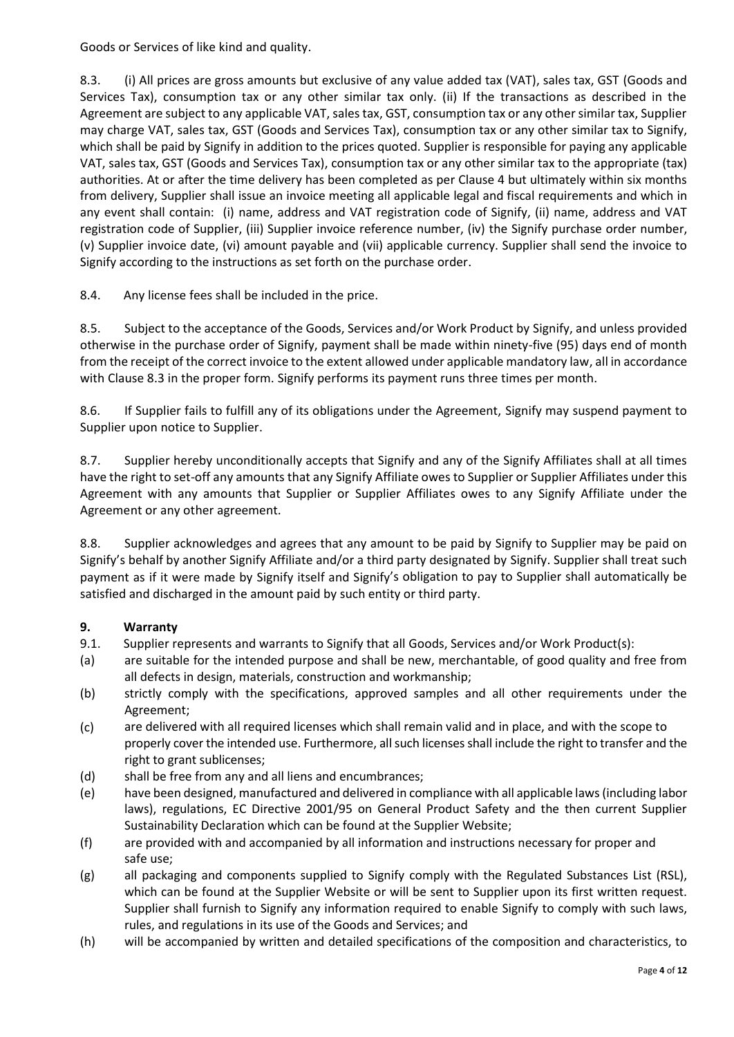Goods or Services of like kind and quality.

8.3. (i) All prices are gross amounts but exclusive of any value added tax (VAT), sales tax, GST (Goods and Services Tax), consumption tax or any other similar tax only. (ii) If the transactions as described in the Agreement are subject to any applicable VAT, sales tax, GST, consumption tax or any other similar tax, Supplier may charge VAT, sales tax, GST (Goods and Services Tax), consumption tax or any other similar tax to Signify, which shall be paid by Signify in addition to the prices quoted. Supplier is responsible for paying any applicable VAT, sales tax, GST (Goods and Services Tax), consumption tax or any other similar tax to the appropriate (tax) authorities. At or after the time delivery has been completed as per Clause 4 but ultimately within six months from delivery, Supplier shall issue an invoice meeting all applicable legal and fiscal requirements and which in any event shall contain: (i) name, address and VAT registration code of Signify, (ii) name, address and VAT registration code of Supplier, (iii) Supplier invoice reference number, (iv) the Signify purchase order number, (v) Supplier invoice date, (vi) amount payable and (vii) applicable currency. Supplier shall send the invoice to Signify according to the instructions as set forth on the purchase order.

8.4. Any license fees shall be included in the price.

8.5. Subject to the acceptance of the Goods, Services and/or Work Product by Signify, and unless provided otherwise in the purchase order of Signify, payment shall be made within ninety-five (95) days end of month from the receipt of the correct invoice to the extent allowed under applicable mandatory law, all in accordance with Clause 8.3 in the proper form. Signify performs its payment runs three times per month.

8.6. If Supplier fails to fulfill any of its obligations under the Agreement, Signify may suspend payment to Supplier upon notice to Supplier.

8.7. Supplier hereby unconditionally accepts that Signify and any of the Signify Affiliates shall at all times have the right to set-off any amounts that any Signify Affiliate owes to Supplier or Supplier Affiliates under this Agreement with any amounts that Supplier or Supplier Affiliates owes to any Signify Affiliate under the Agreement or any other agreement.

8.8. Supplier acknowledges and agrees that any amount to be paid by Signify to Supplier may be paid on Signify's behalf by another Signify Affiliate and/or a third party designated by Signify. Supplier shall treat such payment as if it were made by Signify itself and Signify's obligation to pay to Supplier shall automatically be satisfied and discharged in the amount paid by such entity or third party.

### **9. Warranty**

- 9.1. Supplier represents and warrants to Signify that all Goods, Services and/or Work Product(s):
- (a) are suitable for the intended purpose and shall be new, merchantable, of good quality and free from all defects in design, materials, construction and workmanship;
- (b) strictly comply with the specifications, approved samples and all other requirements under the Agreement;
- (c) are delivered with all required licenses which shall remain valid and in place, and with the scope to properly cover the intended use. Furthermore, all such licenses shall include the right to transfer and the right to grant sublicenses;
- (d) shall be free from any and all liens and encumbrances;
- (e) have been designed, manufactured and delivered in compliance with all applicable laws (including labor laws), regulations, EC Directive 2001/95 on General Product Safety and the then current Supplier Sustainability Declaration which can be found at the Supplier Website;
- (f) are provided with and accompanied by all information and instructions necessary for proper and safe use;
- (g) all packaging and components supplied to Signify comply with the Regulated Substances List (RSL), which can be found at the Supplier Website or will be sent to Supplier upon its first written request. Supplier shall furnish to Signify any information required to enable Signify to comply with such laws, rules, and regulations in its use of the Goods and Services; and
- (h) will be accompanied by written and detailed specifications of the composition and characteristics, to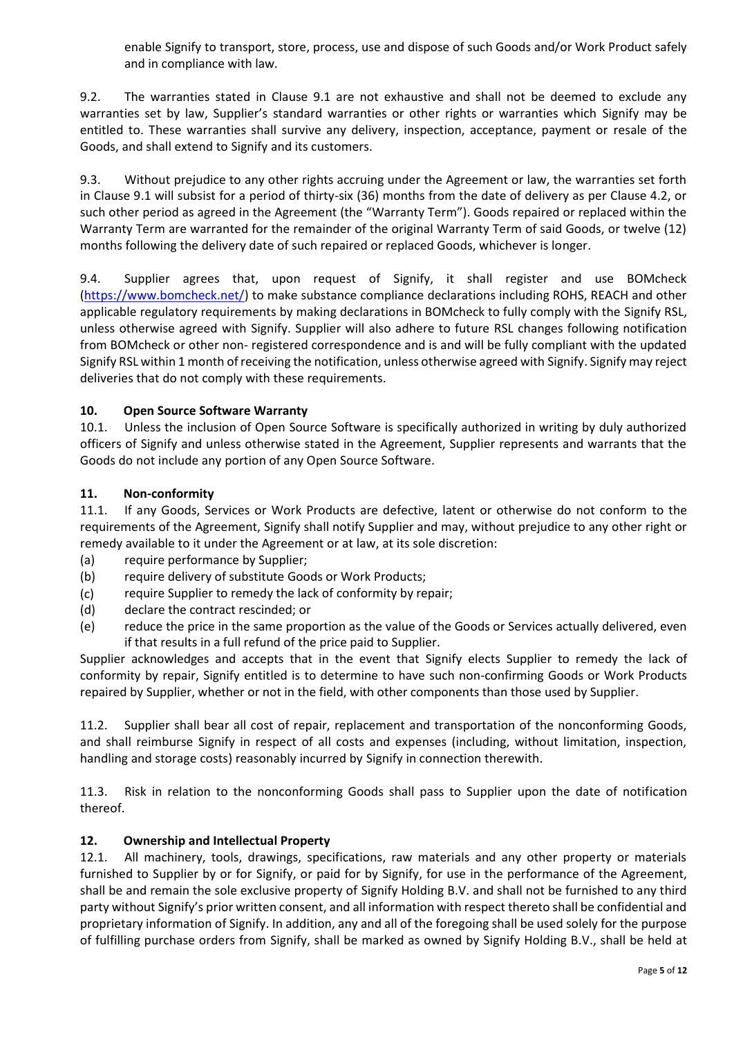enable Signify to transport, store, process, use and dispose of such Goods and/or Work Product safely and in compliance with law.

9.2. The warranties stated in Clause 9.1 are not exhaustive and shall not be deemed to exclude any warranties set by law, Supplier's standard warranties or other rights or warranties which Signify may be entitled to. These warranties shall survive any delivery, inspection, acceptance, payment or resale of the Goods, and shall extend to Signify and its customers.

9.3. Without prejudice to any other rights accruing under the Agreement or law, the warranties set forth in Clause 9.1 will subsist for a period of thirty-six (36) months from the date of delivery as per Clause 4.2, or such other period as agreed in the Agreement (the "Warranty Term"). Goods repaired or replaced within the Warranty Term are warranted for the remainder of the original Warranty Term of said Goods, or twelve (12) months following the delivery date of such repaired or replaced Goods, whichever is longer.

9.4. Supplier agrees that, upon request of Signify, it shall register and use BOMcheck [\(https://www.bomcheck.net/\)](https://www.bomcheck.net/) to make substance compliance declarations including ROHS, REACH and other applicable regulatory requirements by making declarations in BOMcheck to fully comply with the Signify RSL, unless otherwise agreed with Signify. Supplier will also adhere to future RSL changes following notification from BOMcheck or other non- registered correspondence and is and will be fully compliant with the updated Signify RSL within 1 month of receiving the notification, unless otherwise agreed with Signify. Signify may reject deliveries that do not comply with these requirements.

### **10. Open Source Software Warranty**

10.1. Unless the inclusion of Open Source Software is specifically authorized in writing by duly authorized officers of Signify and unless otherwise stated in the Agreement, Supplier represents and warrants that the Goods do not include any portion of any Open Source Software.

#### **11. Non-conformity**

11.1. If any Goods, Services or Work Products are defective, latent or otherwise do not conform to the requirements of the Agreement, Signify shall notify Supplier and may, without prejudice to any other right or remedy available to it under the Agreement or at law, at its sole discretion:

- (a) require performance by Supplier;
- (b) require delivery of substitute Goods or Work Products;
- (c) require Supplier to remedy the lack of conformity by repair;
- (d) declare the contract rescinded; or
- (e) reduce the price in the same proportion as the value of the Goods or Services actually delivered, even if that results in a full refund of the price paid to Supplier.

Supplier acknowledges and accepts that in the event that Signify elects Supplier to remedy the lack of conformity by repair, Signify entitled is to determine to have such non-confirming Goods or Work Products repaired by Supplier, whether or not in the field, with other components than those used by Supplier.

11.2. Supplier shall bear all cost of repair, replacement and transportation of the nonconforming Goods, and shall reimburse Signify in respect of all costs and expenses (including, without limitation, inspection, handling and storage costs) reasonably incurred by Signify in connection therewith.

11.3. Risk in relation to the nonconforming Goods shall pass to Supplier upon the date of notification thereof.

#### **12. Ownership and Intellectual Property**

12.1. All machinery, tools, drawings, specifications, raw materials and any other property or materials furnished to Supplier by or for Signify, or paid for by Signify, for use in the performance of the Agreement, shall be and remain the sole exclusive property of Signify Holding B.V. and shall not be furnished to any third party without Signify's prior written consent, and all information with respect thereto shall be confidential and proprietary information of Signify. In addition, any and all of the foregoing shall be used solely for the purpose of fulfilling purchase orders from Signify, shall be marked as owned by Signify Holding B.V., shall be held at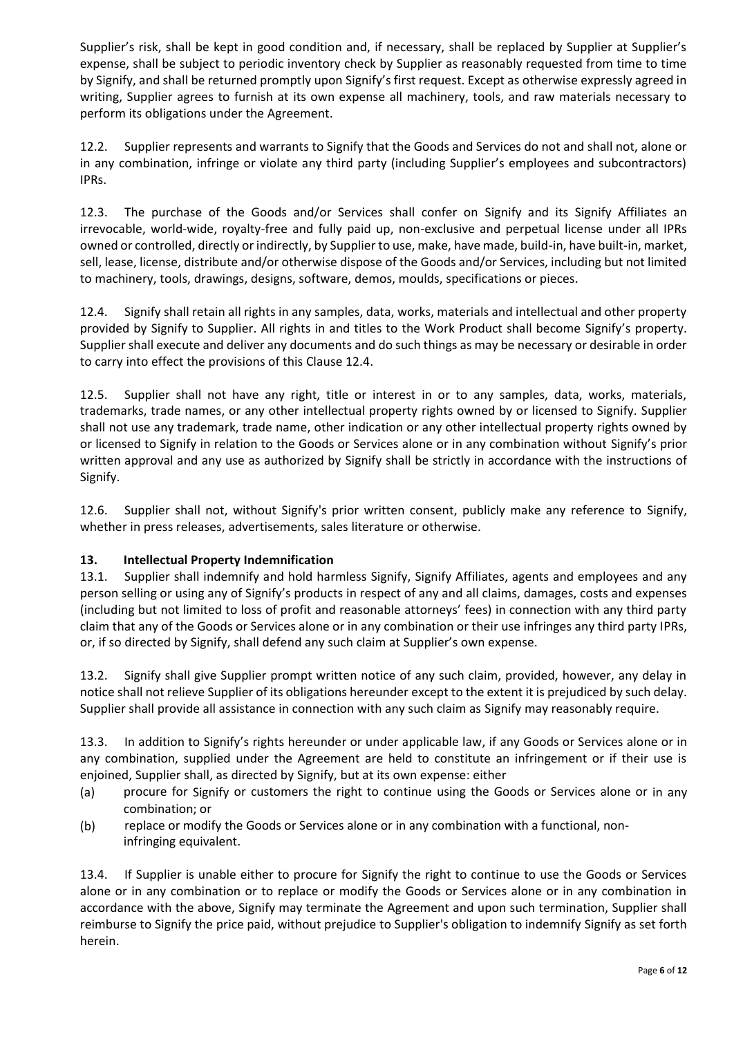Supplier's risk, shall be kept in good condition and, if necessary, shall be replaced by Supplier at Supplier's expense, shall be subject to periodic inventory check by Supplier as reasonably requested from time to time by Signify, and shall be returned promptly upon Signify's first request. Except as otherwise expressly agreed in writing, Supplier agrees to furnish at its own expense all machinery, tools, and raw materials necessary to perform its obligations under the Agreement.

12.2. Supplier represents and warrants to Signify that the Goods and Services do not and shall not, alone or in any combination, infringe or violate any third party (including Supplier's employees and subcontractors) IPRs.

12.3. The purchase of the Goods and/or Services shall confer on Signify and its Signify Affiliates an irrevocable, world-wide, royalty-free and fully paid up, non-exclusive and perpetual license under all IPRs owned or controlled, directly or indirectly, by Supplier to use, make, have made, build-in, have built-in, market, sell, lease, license, distribute and/or otherwise dispose of the Goods and/or Services, including but not limited to machinery, tools, drawings, designs, software, demos, moulds, specifications or pieces.

12.4. Signify shall retain all rights in any samples, data, works, materials and intellectual and other property provided by Signify to Supplier. All rights in and titles to the Work Product shall become Signify's property. Supplier shall execute and deliver any documents and do such things as may be necessary or desirable in order to carry into effect the provisions of this Clause 12.4.

12.5. Supplier shall not have any right, title or interest in or to any samples, data, works, materials, trademarks, trade names, or any other intellectual property rights owned by or licensed to Signify. Supplier shall not use any trademark, trade name, other indication or any other intellectual property rights owned by or licensed to Signify in relation to the Goods or Services alone or in any combination without Signify's prior written approval and any use as authorized by Signify shall be strictly in accordance with the instructions of Signify.

12.6. Supplier shall not, without Signify's prior written consent, publicly make any reference to Signify, whether in press releases, advertisements, sales literature or otherwise.

### **13. Intellectual Property Indemnification**

13.1. Supplier shall indemnify and hold harmless Signify, Signify Affiliates, agents and employees and any person selling or using any of Signify's products in respect of any and all claims, damages, costs and expenses (including but not limited to loss of profit and reasonable attorneys' fees) in connection with any third party claim that any of the Goods or Services alone or in any combination or their use infringes any third party IPRs, or, if so directed by Signify, shall defend any such claim at Supplier's own expense.

13.2. Signify shall give Supplier prompt written notice of any such claim, provided, however, any delay in notice shall not relieve Supplier of its obligations hereunder except to the extent it is prejudiced by such delay. Supplier shall provide all assistance in connection with any such claim as Signify may reasonably require.

13.3. In addition to Signify's rights hereunder or under applicable law, if any Goods or Services alone or in any combination, supplied under the Agreement are held to constitute an infringement or if their use is enjoined, Supplier shall, as directed by Signify, but at its own expense: either

- (a) procure for Signify or customers the right to continue using the Goods or Services alone or in any combination; or
- (b) replace or modify the Goods or Services alone or in any combination with a functional, noninfringing equivalent.

13.4. If Supplier is unable either to procure for Signify the right to continue to use the Goods or Services alone or in any combination or to replace or modify the Goods or Services alone or in any combination in accordance with the above, Signify may terminate the Agreement and upon such termination, Supplier shall reimburse to Signify the price paid, without prejudice to Supplier's obligation to indemnify Signify as set forth herein.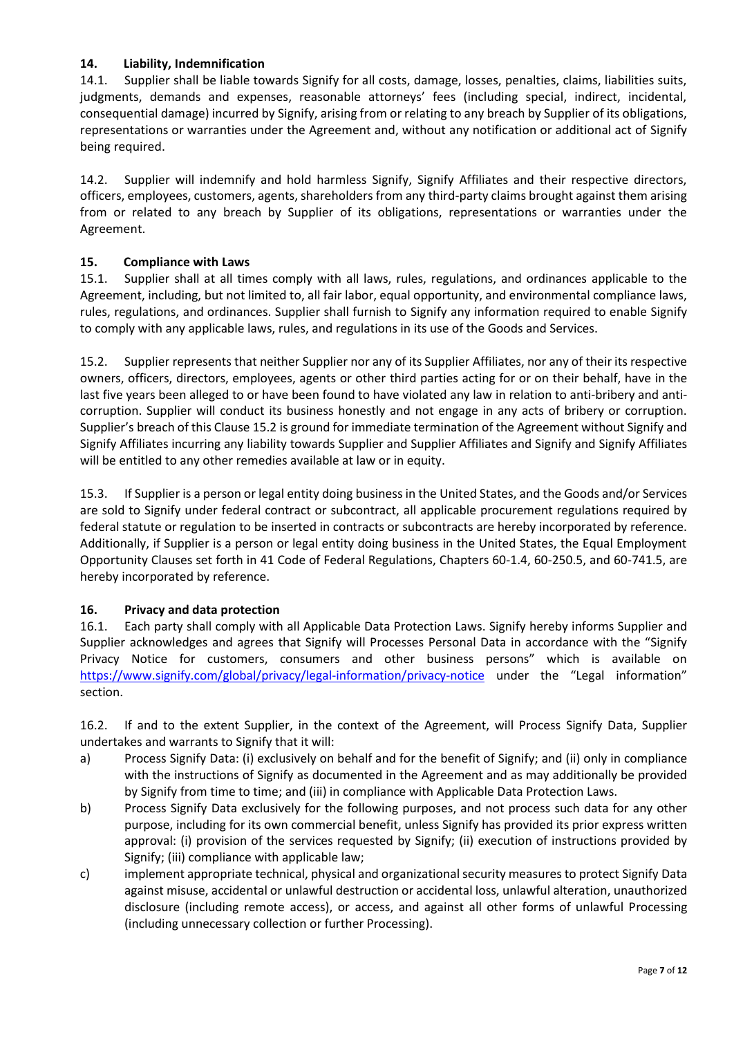### **14. Liability, Indemnification**

14.1. Supplier shall be liable towards Signify for all costs, damage, losses, penalties, claims, liabilities suits, judgments, demands and expenses, reasonable attorneys' fees (including special, indirect, incidental, consequential damage) incurred by Signify, arising from or relating to any breach by Supplier of its obligations, representations or warranties under the Agreement and, without any notification or additional act of Signify being required.

14.2. Supplier will indemnify and hold harmless Signify, Signify Affiliates and their respective directors, officers, employees, customers, agents, shareholders from any third-party claims brought against them arising from or related to any breach by Supplier of its obligations, representations or warranties under the Agreement.

### **15. Compliance with Laws**

15.1. Supplier shall at all times comply with all laws, rules, regulations, and ordinances applicable to the Agreement, including, but not limited to, all fair labor, equal opportunity, and environmental compliance laws, rules, regulations, and ordinances. Supplier shall furnish to Signify any information required to enable Signify to comply with any applicable laws, rules, and regulations in its use of the Goods and Services.

15.2. Supplier represents that neither Supplier nor any of its Supplier Affiliates, nor any of their its respective owners, officers, directors, employees, agents or other third parties acting for or on their behalf, have in the last five years been alleged to or have been found to have violated any law in relation to anti-bribery and anticorruption. Supplier will conduct its business honestly and not engage in any acts of bribery or corruption. Supplier's breach of this Clause 15.2 is ground for immediate termination of the Agreement without Signify and Signify Affiliates incurring any liability towards Supplier and Supplier Affiliates and Signify and Signify Affiliates will be entitled to any other remedies available at law or in equity.

15.3. If Supplier is a person or legal entity doing business in the United States, and the Goods and/or Services are sold to Signify under federal contract or subcontract, all applicable procurement regulations required by federal statute or regulation to be inserted in contracts or subcontracts are hereby incorporated by reference. Additionally, if Supplier is a person or legal entity doing business in the United States, the Equal Employment Opportunity Clauses set forth in 41 Code of Federal Regulations, Chapters 60-1.4, 60-250.5, and 60-741.5, are hereby incorporated by reference.

### **16. Privacy and data protection**

16.1. Each party shall comply with all Applicable Data Protection Laws. Signify hereby informs Supplier and Supplier acknowledges and agrees that Signify will Processes Personal Data in accordance with the "Signify Privacy Notice for customers, consumers and other business persons" which is available on <https://www.signify.com/global/privacy/legal-information/privacy-notice> under the "Legal information" section.

16.2. If and to the extent Supplier, in the context of the Agreement, will Process Signify Data, Supplier undertakes and warrants to Signify that it will:

- a) Process Signify Data: (i) exclusively on behalf and for the benefit of Signify; and (ii) only in compliance with the instructions of Signify as documented in the Agreement and as may additionally be provided by Signify from time to time; and (iii) in compliance with Applicable Data Protection Laws.
- b) Process Signify Data exclusively for the following purposes, and not process such data for any other purpose, including for its own commercial benefit, unless Signify has provided its prior express written approval: (i) provision of the services requested by Signify; (ii) execution of instructions provided by Signify; (iii) compliance with applicable law;
- c) implement appropriate technical, physical and organizational security measures to protect Signify Data against misuse, accidental or unlawful destruction or accidental loss, unlawful alteration, unauthorized disclosure (including remote access), or access, and against all other forms of unlawful Processing (including unnecessary collection or further Processing).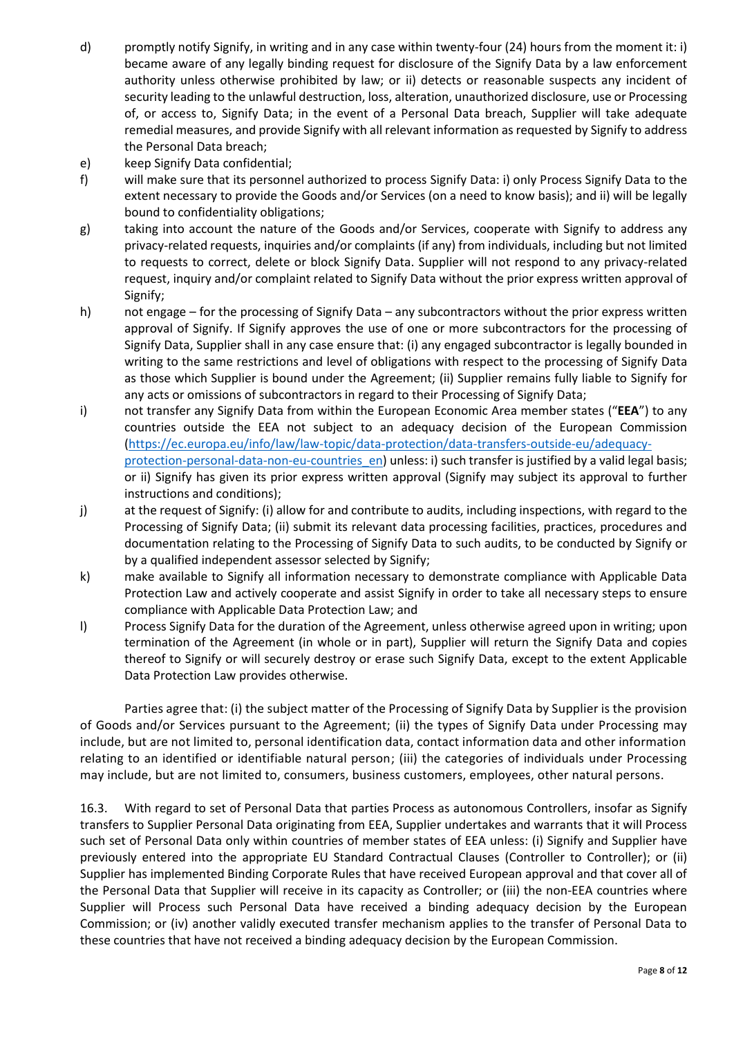- d) promptly notify Signify, in writing and in any case within twenty-four (24) hours from the moment it: i) became aware of any legally binding request for disclosure of the Signify Data by a law enforcement authority unless otherwise prohibited by law; or ii) detects or reasonable suspects any incident of security leading to the unlawful destruction, loss, alteration, unauthorized disclosure, use or Processing of, or access to, Signify Data; in the event of a Personal Data breach, Supplier will take adequate remedial measures, and provide Signify with all relevant information as requested by Signify to address the Personal Data breach;
- e) keep Signify Data confidential;
- f) will make sure that its personnel authorized to process Signify Data: i) only Process Signify Data to the extent necessary to provide the Goods and/or Services (on a need to know basis); and ii) will be legally bound to confidentiality obligations;
- g) taking into account the nature of the Goods and/or Services, cooperate with Signify to address any privacy-related requests, inquiries and/or complaints (if any) from individuals, including but not limited to requests to correct, delete or block Signify Data. Supplier will not respond to any privacy-related request, inquiry and/or complaint related to Signify Data without the prior express written approval of Signify;
- h) not engage for the processing of Signify Data any subcontractors without the prior express written approval of Signify. If Signify approves the use of one or more subcontractors for the processing of Signify Data, Supplier shall in any case ensure that: (i) any engaged subcontractor is legally bounded in writing to the same restrictions and level of obligations with respect to the processing of Signify Data as those which Supplier is bound under the Agreement; (ii) Supplier remains fully liable to Signify for any acts or omissions of subcontractors in regard to their Processing of Signify Data;
- i) not transfer any Signify Data from within the European Economic Area member states ("**EEA**") to any countries outside the EEA not subject to an adequacy decision of the European Commission [\(https://ec.europa.eu/info/law/law-topic/data-protection/data-transfers-outside-eu/adequacy](https://ec.europa.eu/info/law/law-topic/data-protection/data-transfers-outside-eu/adequacy-protection-personal-data-non-eu-countries_en)[protection-personal-data-non-eu-countries\\_en\)](https://ec.europa.eu/info/law/law-topic/data-protection/data-transfers-outside-eu/adequacy-protection-personal-data-non-eu-countries_en) unless: i) such transfer is justified by a valid legal basis; or ii) Signify has given its prior express written approval (Signify may subject its approval to further instructions and conditions);
- j) at the request of Signify: (i) allow for and contribute to audits, including inspections, with regard to the Processing of Signify Data; (ii) submit its relevant data processing facilities, practices, procedures and documentation relating to the Processing of Signify Data to such audits, to be conducted by Signify or by a qualified independent assessor selected by Signify;
- k) make available to Signify all information necessary to demonstrate compliance with Applicable Data Protection Law and actively cooperate and assist Signify in order to take all necessary steps to ensure compliance with Applicable Data Protection Law; and
- l) Process Signify Data for the duration of the Agreement, unless otherwise agreed upon in writing; upon termination of the Agreement (in whole or in part), Supplier will return the Signify Data and copies thereof to Signify or will securely destroy or erase such Signify Data, except to the extent Applicable Data Protection Law provides otherwise.

Parties agree that: (i) the subject matter of the Processing of Signify Data by Supplier is the provision of Goods and/or Services pursuant to the Agreement; (ii) the types of Signify Data under Processing may include, but are not limited to, personal identification data, contact information data and other information relating to an identified or identifiable natural person; (iii) the categories of individuals under Processing may include, but are not limited to, consumers, business customers, employees, other natural persons.

16.3. With regard to set of Personal Data that parties Process as autonomous Controllers, insofar as Signify transfers to Supplier Personal Data originating from EEA, Supplier undertakes and warrants that it will Process such set of Personal Data only within countries of member states of EEA unless: (i) Signify and Supplier have previously entered into the appropriate EU Standard Contractual Clauses (Controller to Controller); or (ii) Supplier has implemented Binding Corporate Rules that have received European approval and that cover all of the Personal Data that Supplier will receive in its capacity as Controller; or (iii) the non-EEA countries where Supplier will Process such Personal Data have received a binding adequacy decision by the European Commission; or (iv) another validly executed transfer mechanism applies to the transfer of Personal Data to these countries that have not received a binding adequacy decision by the European Commission.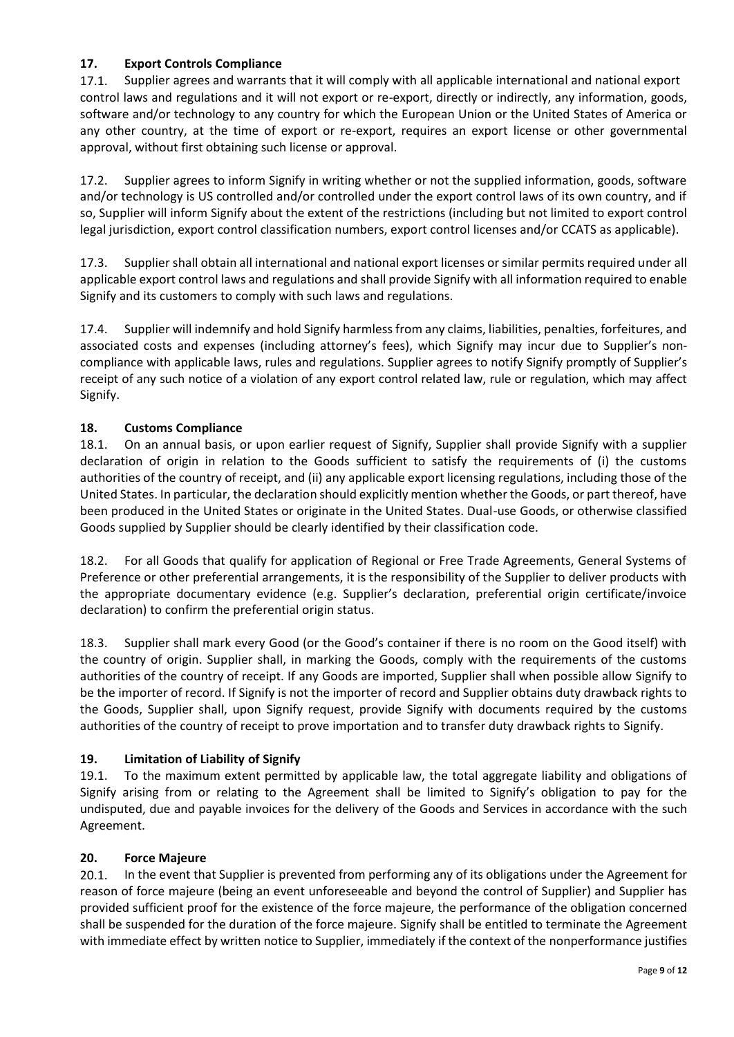# **17. Export Controls Compliance**

17.1. Supplier agrees and warrants that it will comply with all applicable international and national export control laws and regulations and it will not export or re-export, directly or indirectly, any information, goods, software and/or technology to any country for which the European Union or the United States of America or any other country, at the time of export or re-export, requires an export license or other governmental approval, without first obtaining such license or approval.

17.2. Supplier agrees to inform Signify in writing whether or not the supplied information, goods, software and/or technology is US controlled and/or controlled under the export control laws of its own country, and if so, Supplier will inform Signify about the extent of the restrictions (including but not limited to export control legal jurisdiction, export control classification numbers, export control licenses and/or CCATS as applicable).

17.3. Supplier shall obtain all international and national export licenses or similar permits required under all applicable export control laws and regulations and shall provide Signify with all information required to enable Signify and its customers to comply with such laws and regulations.

17.4. Supplier will indemnify and hold Signify harmless from any claims, liabilities, penalties, forfeitures, and associated costs and expenses (including attorney's fees), which Signify may incur due to Supplier's noncompliance with applicable laws, rules and regulations. Supplier agrees to notify Signify promptly of Supplier's receipt of any such notice of a violation of any export control related law, rule or regulation, which may affect Signify.

### **18. Customs Compliance**

18.1. On an annual basis, or upon earlier request of Signify, Supplier shall provide Signify with a supplier declaration of origin in relation to the Goods sufficient to satisfy the requirements of (i) the customs authorities of the country of receipt, and (ii) any applicable export licensing regulations, including those of the United States. In particular, the declaration should explicitly mention whether the Goods, or part thereof, have been produced in the United States or originate in the United States. Dual-use Goods, or otherwise classified Goods supplied by Supplier should be clearly identified by their classification code.

18.2. For all Goods that qualify for application of Regional or Free Trade Agreements, General Systems of Preference or other preferential arrangements, it is the responsibility of the Supplier to deliver products with the appropriate documentary evidence (e.g. Supplier's declaration, preferential origin certificate/invoice declaration) to confirm the preferential origin status.

18.3. Supplier shall mark every Good (or the Good's container if there is no room on the Good itself) with the country of origin. Supplier shall, in marking the Goods, comply with the requirements of the customs authorities of the country of receipt. If any Goods are imported, Supplier shall when possible allow Signify to be the importer of record. If Signify is not the importer of record and Supplier obtains duty drawback rights to the Goods, Supplier shall, upon Signify request, provide Signify with documents required by the customs authorities of the country of receipt to prove importation and to transfer duty drawback rights to Signify.

### **19. Limitation of Liability of Signify**

19.1. To the maximum extent permitted by applicable law, the total aggregate liability and obligations of Signify arising from or relating to the Agreement shall be limited to Signify's obligation to pay for the undisputed, due and payable invoices for the delivery of the Goods and Services in accordance with the such Agreement.

### **20. Force Majeure**

20.1. In the event that Supplier is prevented from performing any of its obligations under the Agreement for reason of force majeure (being an event unforeseeable and beyond the control of Supplier) and Supplier has provided sufficient proof for the existence of the force majeure, the performance of the obligation concerned shall be suspended for the duration of the force majeure. Signify shall be entitled to terminate the Agreement with immediate effect by written notice to Supplier, immediately if the context of the nonperformance justifies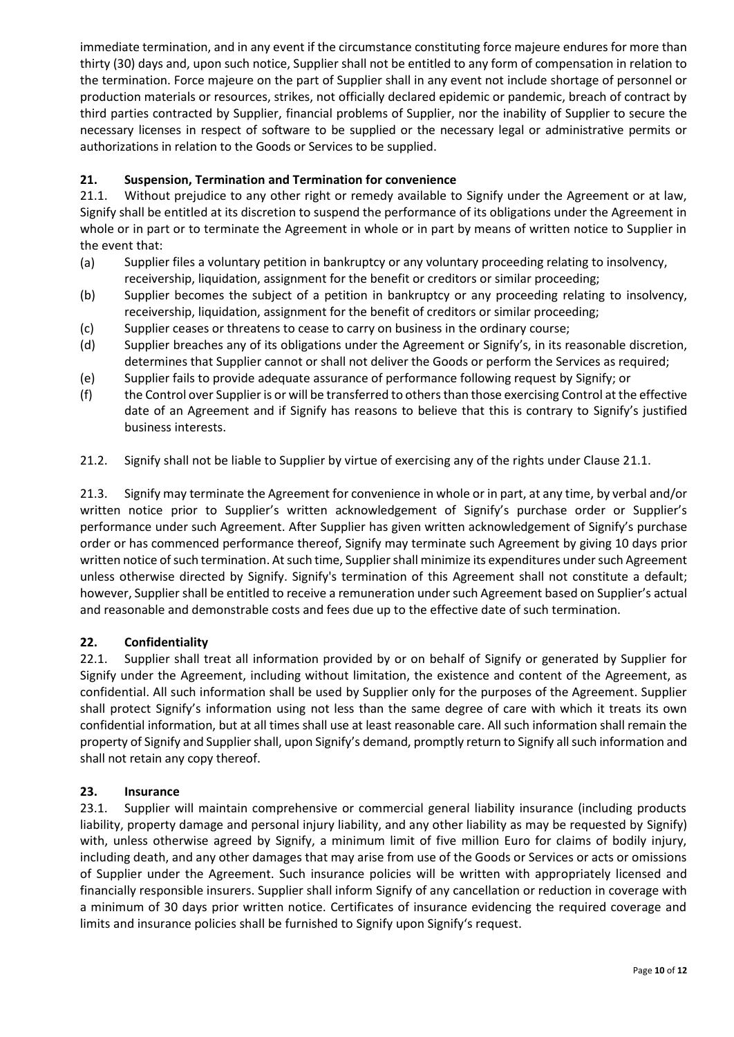immediate termination, and in any event if the circumstance constituting force majeure endures for more than thirty (30) days and, upon such notice, Supplier shall not be entitled to any form of compensation in relation to the termination. Force majeure on the part of Supplier shall in any event not include shortage of personnel or production materials or resources, strikes, not officially declared epidemic or pandemic, breach of contract by third parties contracted by Supplier, financial problems of Supplier, nor the inability of Supplier to secure the necessary licenses in respect of software to be supplied or the necessary legal or administrative permits or authorizations in relation to the Goods or Services to be supplied.

# **21. Suspension, Termination and Termination for convenience**

21.1. Without prejudice to any other right or remedy available to Signify under the Agreement or at law, Signify shall be entitled at its discretion to suspend the performance of its obligations under the Agreement in whole or in part or to terminate the Agreement in whole or in part by means of written notice to Supplier in the event that:

- (a) Supplier files a voluntary petition in bankruptcy or any voluntary proceeding relating to insolvency, receivership, liquidation, assignment for the benefit or creditors or similar proceeding;
- (b) Supplier becomes the subject of a petition in bankruptcy or any proceeding relating to insolvency, receivership, liquidation, assignment for the benefit of creditors or similar proceeding;
- (c) Supplier ceases or threatens to cease to carry on business in the ordinary course;
- (d) Supplier breaches any of its obligations under the Agreement or Signify's, in its reasonable discretion, determines that Supplier cannot or shall not deliver the Goods or perform the Services as required;
- (e) Supplier fails to provide adequate assurance of performance following request by Signify; or
- (f) the Control over Supplier is or will be transferred to others than those exercising Control at the effective date of an Agreement and if Signify has reasons to believe that this is contrary to Signify's justified business interests.

21.2. Signify shall not be liable to Supplier by virtue of exercising any of the rights under Clause 21.1.

21.3. Signify may terminate the Agreement for convenience in whole or in part, at any time, by verbal and/or written notice prior to Supplier's written acknowledgement of Signify's purchase order or Supplier's performance under such Agreement. After Supplier has given written acknowledgement of Signify's purchase order or has commenced performance thereof, Signify may terminate such Agreement by giving 10 days prior written notice of such termination. At such time, Suppliershall minimize its expenditures under such Agreement unless otherwise directed by Signify. Signify's termination of this Agreement shall not constitute a default; however, Supplier shall be entitled to receive a remuneration under such Agreement based on Supplier's actual and reasonable and demonstrable costs and fees due up to the effective date of such termination.

### **22. Confidentiality**

22.1. Supplier shall treat all information provided by or on behalf of Signify or generated by Supplier for Signify under the Agreement, including without limitation, the existence and content of the Agreement, as confidential. All such information shall be used by Supplier only for the purposes of the Agreement. Supplier shall protect Signify's information using not less than the same degree of care with which it treats its own confidential information, but at all times shall use at least reasonable care. All such information shall remain the property of Signify and Supplier shall, upon Signify's demand, promptly return to Signify all such information and shall not retain any copy thereof.

#### **23. Insurance**

23.1. Supplier will maintain comprehensive or commercial general liability insurance (including products liability, property damage and personal injury liability, and any other liability as may be requested by Signify) with, unless otherwise agreed by Signify, a minimum limit of five million Euro for claims of bodily injury, including death, and any other damages that may arise from use of the Goods or Services or acts or omissions of Supplier under the Agreement. Such insurance policies will be written with appropriately licensed and financially responsible insurers. Supplier shall inform Signify of any cancellation or reduction in coverage with a minimum of 30 days prior written notice. Certificates of insurance evidencing the required coverage and limits and insurance policies shall be furnished to Signify upon Signify's request.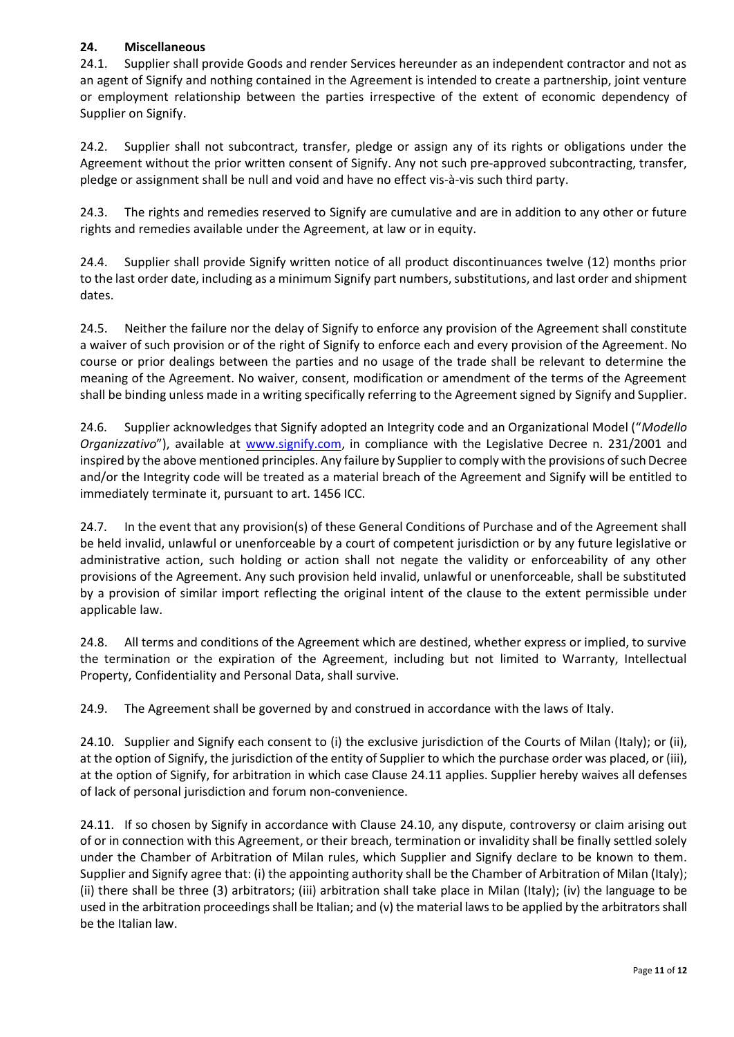### **24. Miscellaneous**

24.1. Supplier shall provide Goods and render Services hereunder as an independent contractor and not as an agent of Signify and nothing contained in the Agreement is intended to create a partnership, joint venture or employment relationship between the parties irrespective of the extent of economic dependency of Supplier on Signify.

24.2. Supplier shall not subcontract, transfer, pledge or assign any of its rights or obligations under the Agreement without the prior written consent of Signify. Any not such pre-approved subcontracting, transfer, pledge or assignment shall be null and void and have no effect vis-à-vis such third party.

24.3. The rights and remedies reserved to Signify are cumulative and are in addition to any other or future rights and remedies available under the Agreement, at law or in equity.

24.4. Supplier shall provide Signify written notice of all product discontinuances twelve (12) months prior to the last order date, including as a minimum Signify part numbers, substitutions, and last order and shipment dates.

24.5. Neither the failure nor the delay of Signify to enforce any provision of the Agreement shall constitute a waiver of such provision or of the right of Signify to enforce each and every provision of the Agreement. No course or prior dealings between the parties and no usage of the trade shall be relevant to determine the meaning of the Agreement. No waiver, consent, modification or amendment of the terms of the Agreement shall be binding unless made in a writing specifically referring to the Agreement signed by Signify and Supplier.

24.6. Supplier acknowledges that Signify adopted an Integrity code and an Organizational Model ("*Modello Organizzativo*"), available at [www.signify.com,](http://www.signify.com/) in compliance with the Legislative Decree n. 231/2001 and inspired by the above mentioned principles. Any failure by Supplier to comply with the provisions of such Decree and/or the Integrity code will be treated as a material breach of the Agreement and Signify will be entitled to immediately terminate it, pursuant to art. 1456 ICC.

24.7. In the event that any provision(s) of these General Conditions of Purchase and of the Agreement shall be held invalid, unlawful or unenforceable by a court of competent jurisdiction or by any future legislative or administrative action, such holding or action shall not negate the validity or enforceability of any other provisions of the Agreement. Any such provision held invalid, unlawful or unenforceable, shall be substituted by a provision of similar import reflecting the original intent of the clause to the extent permissible under applicable law.

24.8. All terms and conditions of the Agreement which are destined, whether express or implied, to survive the termination or the expiration of the Agreement, including but not limited to Warranty, Intellectual Property, Confidentiality and Personal Data, shall survive.

24.9. The Agreement shall be governed by and construed in accordance with the laws of Italy.

24.10. Supplier and Signify each consent to (i) the exclusive jurisdiction of the Courts of Milan (Italy); or (ii), at the option of Signify, the jurisdiction of the entity of Supplier to which the purchase order was placed, or (iii), at the option of Signify, for arbitration in which case Clause 24.11 applies. Supplier hereby waives all defenses of lack of personal jurisdiction and forum non-convenience.

24.11. If so chosen by Signify in accordance with Clause 24.10, any dispute, controversy or claim arising out of or in connection with this Agreement, or their breach, termination or invalidity shall be finally settled solely under the Chamber of Arbitration of Milan rules, which Supplier and Signify declare to be known to them. Supplier and Signify agree that: (i) the appointing authority shall be the Chamber of Arbitration of Milan (Italy); (ii) there shall be three (3) arbitrators; (iii) arbitration shall take place in Milan (Italy); (iv) the language to be used in the arbitration proceedings shall be Italian; and (v) the material laws to be applied by the arbitrators shall be the Italian law.